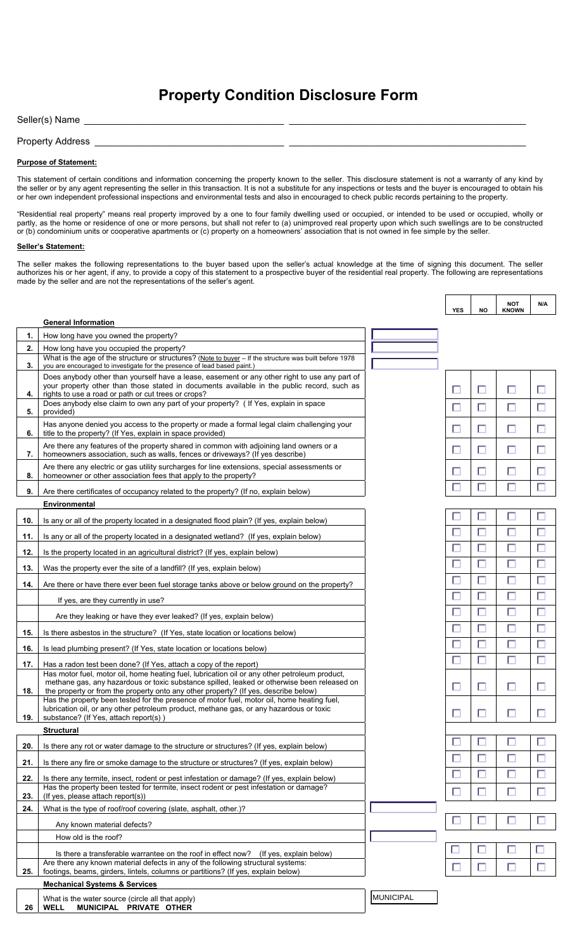# **Property Condition Disclosure Form**

Seller(s) Name

Property Address \_

## **Purpose of Statement:**

This statement of certain conditions and information concerning the property known to the seller. This disclosure statement is not a warranty of any kind by the seller or by any agent representing the seller in this transaction. It is not a substitute for any inspections or tests and the buyer is encouraged to obtain his or her own independent professional inspections and environmental tests and also in encouraged to check public records pertaining to the property.

"Residential real property" means real property improved by a one to four family dwelling used or occupied, or intended to be used or occupied, wholly or partly, as the home or residence of one or more persons, but shall not refer to (a) unimproved real property upon which such swellings are to be constructed or (b) condominium units or cooperative apartments or (c) property on a homeowners' association that is not owned in fee simple by the seller.

### **Seller's Statement:**

The seller makes the following representations to the buyer based upon the seller's actual knowledge at the time of signing this document. The seller authorizes his or her agent, if any, to provide a copy of this statement to a prospective buyer of the residential real property. The following are representations made by the seller and are not the representations of the seller's agent.

|     |                                                                                                                                                                                                                                                                                     |                  | <b>YES</b> | <b>NO</b> | <b>NOT</b><br><b>KNOWN</b> | N/A         |
|-----|-------------------------------------------------------------------------------------------------------------------------------------------------------------------------------------------------------------------------------------------------------------------------------------|------------------|------------|-----------|----------------------------|-------------|
|     | <b>General Information</b>                                                                                                                                                                                                                                                          |                  |            |           |                            |             |
| 1.  | How long have you owned the property?                                                                                                                                                                                                                                               |                  |            |           |                            |             |
| 2.  | How long have you occupied the property?<br>What is the age of the structure or structures? (Note to buyer - If the structure was built before 1978                                                                                                                                 |                  |            |           |                            |             |
| 3.  | you are encouraged to investigate for the presence of lead based paint.)                                                                                                                                                                                                            |                  |            |           |                            |             |
| 4.  | Does anybody other than yourself have a lease, easement or any other right to use any part of<br>your property other than those stated in documents available in the public record, such as<br>rights to use a road or path or cut trees or crops?                                  |                  | П          | □         | $\Box$                     | $\Box$      |
| 5.  | Does anybody else claim to own any part of your property? (If Yes, explain in space<br>provided)                                                                                                                                                                                    |                  | П          |           | $\Box$                     | $\Box$      |
| 6.  | Has anyone denied you access to the property or made a formal legal claim challenging your<br>title to the property? (If Yes, explain in space provided)                                                                                                                            |                  | П          | $\Box$    | $\Box$                     | □           |
| 7.  | Are there any features of the property shared in common with adjoining land owners or a<br>homeowners association, such as walls, fences or driveways? (If yes describe)                                                                                                            |                  | П          | $\Box$    | 口                          | $\Box$      |
| 8.  | Are there any electric or gas utility surcharges for line extensions, special assessments or<br>homeowner or other association fees that apply to the property?                                                                                                                     |                  |            | $\Box$    | $\Box$                     | $\Box$      |
| 9.  | Are there certificates of occupancy related to the property? (If no, explain below)                                                                                                                                                                                                 |                  |            | $\Box$    | $\Box$                     | $\Box$      |
|     | Environmental                                                                                                                                                                                                                                                                       |                  |            |           |                            |             |
| 10. | Is any or all of the property located in a designated flood plain? (If yes, explain below)                                                                                                                                                                                          |                  |            | □         | $\Box$                     | $\Box$      |
| 11. | Is any or all of the property located in a designated wetland? (If yes, explain below)                                                                                                                                                                                              |                  | П          |           | $\Box$                     | $\Box$      |
| 12. | Is the property located in an agricultural district? (If yes, explain below)                                                                                                                                                                                                        |                  | П          |           | $\Box$                     | $\Box$      |
| 13. | Was the property ever the site of a landfill? (If yes, explain below)                                                                                                                                                                                                               |                  | $\Box$     | $\Box$    | $\Box$                     | $\Box$      |
| 14. | Are there or have there ever been fuel storage tanks above or below ground on the property?                                                                                                                                                                                         |                  | $\Box$     | $\Box$    | $\Box$                     | $\Box$      |
|     | If yes, are they currently in use?                                                                                                                                                                                                                                                  |                  | П          | $\Box$    | П                          | $\Box$      |
|     | Are they leaking or have they ever leaked? (If yes, explain below)                                                                                                                                                                                                                  |                  | $\Box$     | $\Box$    | $\Box$                     | $\Box$      |
| 15. | Is there asbestos in the structure? (If Yes, state location or locations below)                                                                                                                                                                                                     |                  | П          | $\Box$    | $\Box$                     | $\Box$      |
| 16. | Is lead plumbing present? (If Yes, state location or locations below)                                                                                                                                                                                                               |                  | П          | $\Box$    | $\Box$                     | $\Box$      |
| 17. | Has a radon test been done? (If Yes, attach a copy of the report)                                                                                                                                                                                                                   |                  | □          | $\Box$    | $\Box$                     | $\Box$      |
| 18. | Has motor fuel, motor oil, home heating fuel, lubrication oil or any other petroleum product,<br>methane gas, any hazardous or toxic substance spilled, leaked or otherwise been released on<br>the property or from the property onto any other property? (If yes, describe below) |                  | П          | $\Box$    | $\Box$                     | $\Box$      |
| 19. | Has the property been tested for the presence of motor fuel, motor oil, home heating fuel,<br>lubrication oil, or any other petroleum product, methane gas, or any hazardous or toxic<br>substance? (If Yes, attach report(s))                                                      |                  |            |           |                            | □           |
|     | <b>Structural</b>                                                                                                                                                                                                                                                                   |                  |            |           |                            |             |
| 20. | Is there any rot or water damage to the structure or structures? (If yes, explain below)                                                                                                                                                                                            |                  |            |           | $\Box$                     | $\Box$      |
| 21. | Is there any fire or smoke damage to the structure or structures? (If yes, explain below)                                                                                                                                                                                           |                  | $\Box$     | $\Box$    | $\Box$                     | $\Box$      |
| 22. | Is there any termite, insect, rodent or pest infestation or damage? (If yes, explain below)<br>Has the property been tested for termite, insect rodent or pest infestation or damage?                                                                                               |                  | □<br>П     | $\Box$    | $\Box$<br>П                | $\Box$<br>口 |
| 23. | (If yes, please attach report(s))                                                                                                                                                                                                                                                   |                  |            |           |                            |             |
| 24. | What is the type of roof/roof covering (slate, asphalt, other.)?                                                                                                                                                                                                                    |                  |            |           |                            |             |
|     | Any known material defects?<br>How old is the roof?                                                                                                                                                                                                                                 |                  |            |           |                            |             |
|     |                                                                                                                                                                                                                                                                                     |                  | ட          | $\Box$    | 口                          | 口           |
|     | Is there a transferable warrantee on the roof in effect now? (If yes, explain below)<br>Are there any known material defects in any of the following structural systems:                                                                                                            |                  |            | $\Box$    | $\Box$                     | $\Box$      |
| 25. | footings, beams, girders, lintels, columns or partitions? (If yes, explain below)                                                                                                                                                                                                   |                  |            |           |                            |             |
|     | <b>Mechanical Systems &amp; Services</b>                                                                                                                                                                                                                                            |                  |            |           |                            |             |
| 26  | What is the water source (circle all that apply)<br>MUNICIPAL PRIVATE OTHER<br><b>WELL</b>                                                                                                                                                                                          | <b>MUNICIPAL</b> |            |           |                            |             |